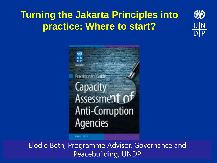### **Turning the Jakarta Principles into practice: Where to start?**



GC. Practitioners Guid Capacity Assessment 0 **Anti-Corruption Agencies** 

Elodie Beth, Programme Advisor, Governance and Peacebuilding, UNDP

**FRANCISTO**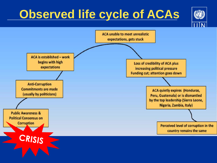# **Observed life cycle of ACAs**



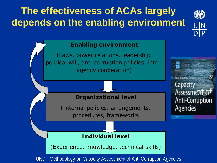## **The effectiveness of ACAs largely depends on the enabling environment**



Capacity

**Agencies** 

**Assessment** 

**Anti-Corruption** 

#### **Enabling environment**

(Laws, power relations, leadership, political will, anti-corruption policies, interagency cooperation)



(Internal policies, arrangements, procedures, frameworks

### **Individual level**

(Experience, knowledge, technical skills)

UNDP Methodology on Capacity Assessment of Anti-Corruption Agencies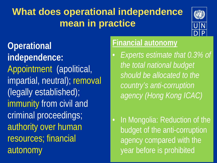## **What does operational independence mean in practice**



**Operational independence:** Appointment (apolitical, impartial, neutral); removal (legally established); immunity from civil and criminal proceedings; authority over human resources; financial autonomy

### **Financial autonomy**

• *Experts estimate that 0.3% of the total national budget should be allocated to the country's anti-corruption agency (Hong Kong ICAC)*

In Mongolia: Reduction of the budget of the anti-corruption agency compared with the year before is prohibited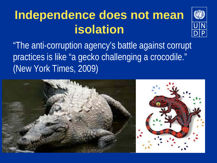# **Independence does not mean isolation**



"The anti-corruption agency's battle against corrupt practices is like "a gecko challenging a crocodile." (New York Times, 2009)

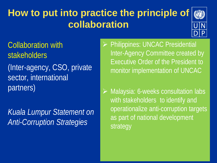### **How to put into practice the principle of collaboration**



Collaboration with **stakeholders** (Inter-agency, CSO, private sector, international partners)

*Kuala Lumpur Statement on Anti-Corruption Strategies*

 Philippines: UNCAC Presidential Inter-Agency Committee created by Executive Order of the President to monitor implementation of UNCAC

 Malaysia: 6-weeks consultation labs with stakeholders to identify and operationalize anti-corruption targets as part of national development strategy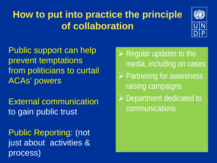## **How to put into practice the principle of collaboration**



Public support can help prevent temptations from politicians to curtail ACAs' powers

External communication to gain public trust

Public Reporting: (not just about activities & process)

- $\triangleright$  Regular updates to the media, including on cases
- $\triangleright$  Partnering for awareness raising campaigns
- ▶ Department dedicated to communications